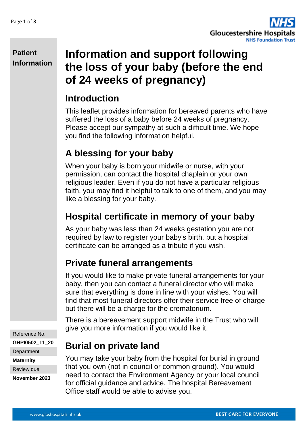

#### **Patient Information**

# **Information and support following the loss of your baby (before the end of 24 weeks of pregnancy)**

# **Introduction**

This leaflet provides information for bereaved parents who have suffered the loss of a baby before 24 weeks of pregnancy. Please accept our sympathy at such a difficult time. We hope you find the following information helpful.

# **A blessing for your baby**

When your baby is born your midwife or nurse, with your permission, can contact the hospital chaplain or your own religious leader. Even if you do not have a particular religious faith, you may find it helpful to talk to one of them, and you may like a blessing for your baby.

# **Hospital certificate in memory of your baby**

As your baby was less than 24 weeks gestation you are not required by law to register your baby's birth, but a hospital certificate can be arranged as a tribute if you wish.

# **Private funeral arrangements**

If you would like to make private funeral arrangements for your baby, then you can contact a funeral director who will make sure that everything is done in line with your wishes. You will find that most funeral directors offer their service free of charge but there will be a charge for the crematorium.

There is a bereavement support midwife in the Trust who will give you more information if you would like it.

**Burial on private land** 

You may take your baby from the hospital for burial in ground that you own (not in council or common ground). You would need to contact the Environment Agency or your local council for official guidance and advice. The hospital Bereavement Office staff would be able to advise you.

Reference No.

**GHPI0502\_11\_20**

**Department** 

**Maternity**

Review due

**November 2023**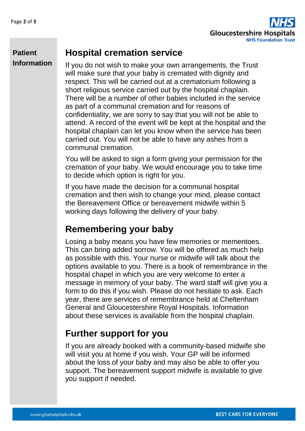**Patient** 

**Information**



#### **Hospital cremation service**

If you do not wish to make your own arrangements, the Trust will make sure that your baby is cremated with dignity and respect. This will be carried out at a crematorium following a short religious service carried out by the hospital chaplain. There will be a number of other babies included in the service as part of a communal cremation and for reasons of confidentiality, we are sorry to say that you will not be able to attend. A record of the event will be kept at the hospital and the hospital chaplain can let you know when the service has been carried out. You will not be able to have any ashes from a communal cremation.

You will be asked to sign a form giving your permission for the cremation of your baby. We would encourage you to take time to decide which option is right for you.

If you have made the decision for a communal hospital cremation and then wish to change your mind, please contact the Bereavement Office or bereavement midwife within 5 working days following the delivery of your baby.

### **Remembering your baby**

Losing a baby means you have few memories or mementoes. This can bring added sorrow. You will be offered as much help as possible with this. Your nurse or midwife will talk about the options available to you. There is a book of remembrance in the hospital chapel in which you are very welcome to enter a message in memory of your baby. The ward staff will give you a form to do this if you wish. Please do not hesitate to ask. Each year, there are services of remembrance held at Cheltenham General and Gloucestershire Royal Hospitals. Information about these services is available from the hospital chaplain.

### **Further support for you**

If you are already booked with a community-based midwife she will visit you at home if you wish. Your GP will be informed about the loss of your baby and may also be able to offer you support. The bereavement support midwife is available to give you support if needed.